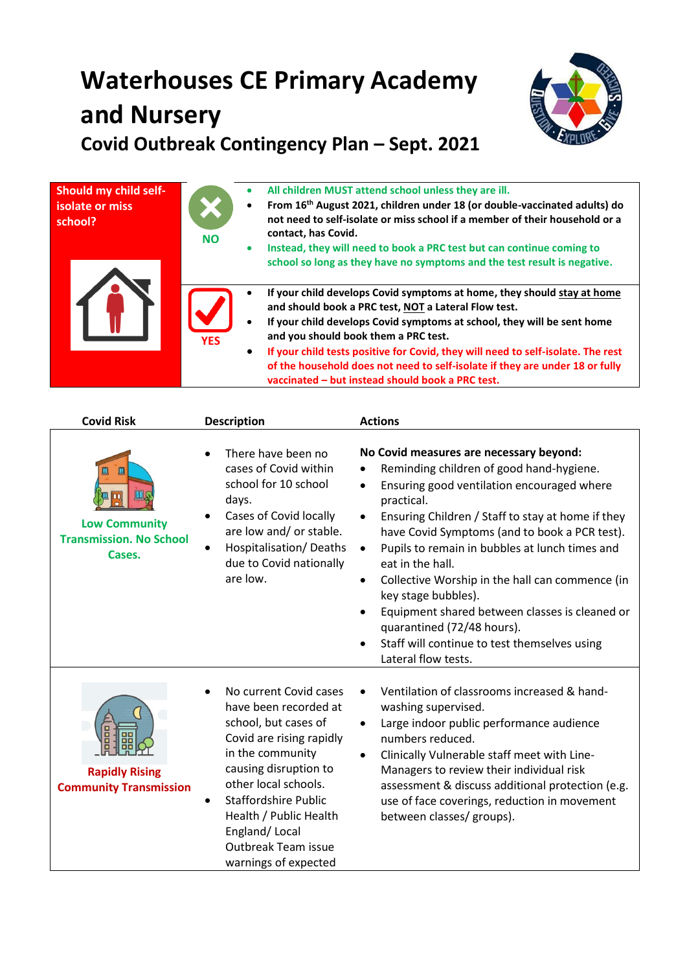## **Waterhouses CE Primary Academy and Nursery Covid Outbreak Contingency Plan – Sept. 2021**



| <b>Should my child self-</b><br>isolate or miss<br>school? | $\bullet$<br>$\bullet$<br><b>NO</b><br>$\bullet$  | All children MUST attend school unless they are ill.<br>From 16 <sup>th</sup> August 2021, children under 18 (or double-vaccinated adults) do<br>not need to self-isolate or miss school if a member of their household or a<br>contact, has Covid.<br>Instead, they will need to book a PRC test but can continue coming to<br>school so long as they have no symptoms and the test result is negative.                                                                   |
|------------------------------------------------------------|---------------------------------------------------|----------------------------------------------------------------------------------------------------------------------------------------------------------------------------------------------------------------------------------------------------------------------------------------------------------------------------------------------------------------------------------------------------------------------------------------------------------------------------|
|                                                            | $\bullet$<br>$\bullet$<br><b>YES</b><br>$\bullet$ | If your child develops Covid symptoms at home, they should stay at home<br>and should book a PRC test, NOT a Lateral Flow test.<br>If your child develops Covid symptoms at school, they will be sent home<br>and you should book them a PRC test.<br>If your child tests positive for Covid, they will need to self-isolate. The rest<br>of the household does not need to self-isolate if they are under 18 or fully<br>vaccinated - but instead should book a PRC test. |

| <b>Covid Risk</b>                                                     | <b>Description</b>                                                                                                                                                                                                                                                                                                    | <b>Actions</b>                                                                                                                                                                                                                                                                                                                                                                                                                                                                                                                                                                                                                                          |
|-----------------------------------------------------------------------|-----------------------------------------------------------------------------------------------------------------------------------------------------------------------------------------------------------------------------------------------------------------------------------------------------------------------|---------------------------------------------------------------------------------------------------------------------------------------------------------------------------------------------------------------------------------------------------------------------------------------------------------------------------------------------------------------------------------------------------------------------------------------------------------------------------------------------------------------------------------------------------------------------------------------------------------------------------------------------------------|
| Щ<br><b>Low Community</b><br><b>Transmission. No School</b><br>Cases. | There have been no<br>cases of Covid within<br>school for 10 school<br>days.<br>Cases of Covid locally<br>are low and/ or stable.<br>Hospitalisation/Deaths<br>due to Covid nationally<br>are low.                                                                                                                    | No Covid measures are necessary beyond:<br>Reminding children of good hand-hygiene.<br>$\bullet$<br>Ensuring good ventilation encouraged where<br>$\bullet$<br>practical.<br>Ensuring Children / Staff to stay at home if they<br>$\bullet$<br>have Covid Symptoms (and to book a PCR test).<br>Pupils to remain in bubbles at lunch times and<br>$\bullet$<br>eat in the hall.<br>Collective Worship in the hall can commence (in<br>$\bullet$<br>key stage bubbles).<br>Equipment shared between classes is cleaned or<br>$\bullet$<br>quarantined (72/48 hours).<br>Staff will continue to test themselves using<br>$\bullet$<br>Lateral flow tests. |
| <b>Rapidly Rising</b><br><b>Community Transmission</b>                | No current Covid cases<br>have been recorded at<br>school, but cases of<br>Covid are rising rapidly<br>in the community<br>causing disruption to<br>other local schools.<br><b>Staffordshire Public</b><br>$\bullet$<br>Health / Public Health<br>England/Local<br><b>Outbreak Team issue</b><br>warnings of expected | Ventilation of classrooms increased & hand-<br>washing supervised.<br>Large indoor public performance audience<br>$\bullet$<br>numbers reduced.<br>Clinically Vulnerable staff meet with Line-<br>$\bullet$<br>Managers to review their individual risk<br>assessment & discuss additional protection (e.g.<br>use of face coverings, reduction in movement<br>between classes/ groups).                                                                                                                                                                                                                                                                |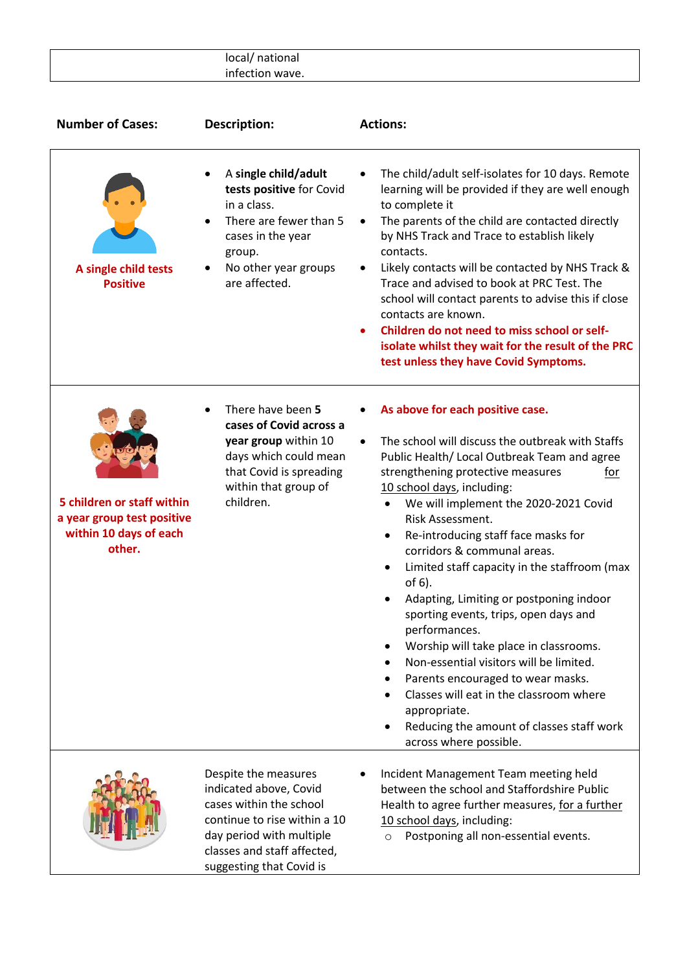| local/ national |
|-----------------|
| infection wave. |
|                 |

| <b>Number of Cases:</b>                                                                      | Description:                                                                                                                                                                                     | <b>Actions:</b>                                                                                                                                                                                                                                                                                                                                                                                                                                                                                                                                                                                                                                                                                                                                                                           |
|----------------------------------------------------------------------------------------------|--------------------------------------------------------------------------------------------------------------------------------------------------------------------------------------------------|-------------------------------------------------------------------------------------------------------------------------------------------------------------------------------------------------------------------------------------------------------------------------------------------------------------------------------------------------------------------------------------------------------------------------------------------------------------------------------------------------------------------------------------------------------------------------------------------------------------------------------------------------------------------------------------------------------------------------------------------------------------------------------------------|
| A single child tests<br><b>Positive</b>                                                      | A single child/adult<br>tests positive for Covid<br>in a class.<br>There are fewer than 5<br>cases in the year<br>group.<br>No other year groups<br>are affected.                                | The child/adult self-isolates for 10 days. Remote<br>learning will be provided if they are well enough<br>to complete it<br>The parents of the child are contacted directly<br>by NHS Track and Trace to establish likely<br>contacts.<br>Likely contacts will be contacted by NHS Track &<br>Trace and advised to book at PRC Test. The<br>school will contact parents to advise this if close<br>contacts are known.<br>Children do not need to miss school or self-<br>isolate whilst they wait for the result of the PRC<br>test unless they have Covid Symptoms.                                                                                                                                                                                                                     |
| 5 children or staff within<br>a year group test positive<br>within 10 days of each<br>other. | There have been 5<br>cases of Covid across a<br>year group within 10<br>days which could mean<br>that Covid is spreading<br>within that group of<br>children.                                    | As above for each positive case.<br>The school will discuss the outbreak with Staffs<br>$\bullet$<br>Public Health/ Local Outbreak Team and agree<br>strengthening protective measures<br>for<br>10 school days, including:<br>We will implement the 2020-2021 Covid<br>Risk Assessment.<br>Re-introducing staff face masks for<br>corridors & communal areas.<br>Limited staff capacity in the staffroom (max<br>of 6).<br>Adapting, Limiting or postponing indoor<br>sporting events, trips, open days and<br>performances.<br>Worship will take place in classrooms.<br>Non-essential visitors will be limited.<br>Parents encouraged to wear masks.<br>Classes will eat in the classroom where<br>appropriate.<br>Reducing the amount of classes staff work<br>across where possible. |
|                                                                                              | Despite the measures<br>indicated above, Covid<br>cases within the school<br>continue to rise within a 10<br>day period with multiple<br>classes and staff affected,<br>suggesting that Covid is | Incident Management Team meeting held<br>between the school and Staffordshire Public<br>Health to agree further measures, for a further<br>10 school days, including:<br>Postponing all non-essential events.<br>$\circ$                                                                                                                                                                                                                                                                                                                                                                                                                                                                                                                                                                  |